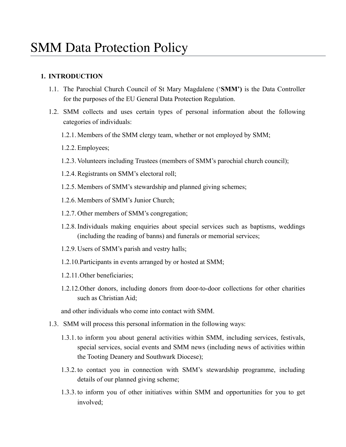# **1. INTRODUCTION**

- 1.1. The Parochial Church Council of St Mary Magdalene ('**SMM')** is the Data Controller for the purposes of the EU General Data Protection Regulation.
- 1.2. SMM collects and uses certain types of personal information about the following categories of individuals:
	- 1.2.1. Members of the SMM clergy team, whether or not employed by SMM;
	- 1.2.2. Employees;
	- 1.2.3. Volunteers including Trustees (members of SMM's parochial church council);
	- 1.2.4.Registrants on SMM's electoral roll;
	- 1.2.5. Members of SMM's stewardship and planned giving schemes;
	- 1.2.6. Members of SMM's Junior Church;
	- 1.2.7. Other members of SMM's congregation;
	- 1.2.8. Individuals making enquiries about special services such as baptisms, weddings (including the reading of banns) and funerals or memorial services;
	- 1.2.9. Users of SMM's parish and vestry halls;
	- 1.2.10.Participants in events arranged by or hosted at SMM;
	- 1.2.11.Other beneficiaries;
	- 1.2.12.Other donors, including donors from door-to-door collections for other charities such as Christian Aid;

and other individuals who come into contact with SMM.

- 1.3. SMM will process this personal information in the following ways:
	- 1.3.1. to inform you about general activities within SMM, including services, festivals, special services, social events and SMM news (including news of activities within the Tooting Deanery and Southwark Diocese);
	- 1.3.2. to contact you in connection with SMM's stewardship programme, including details of our planned giving scheme;
	- 1.3.3. to inform you of other initiatives within SMM and opportunities for you to get involved;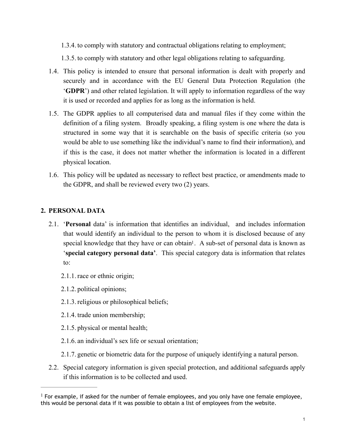1.3.4. to comply with statutory and contractual obligations relating to employment;

1.3.5. to comply with statutory and other legal obligations relating to safeguarding.

- 1.4. This policy is intended to ensure that personal information is dealt with properly and securely and in accordance with the EU General Data Protection Regulation (the '**GDPR**') and other related legislation. It will apply to information regardless of the way it is used or recorded and applies for as long as the information is held.
- 1.5. The GDPR applies to all computerised data and manual files if they come within the definition of a filing system. Broadly speaking, a filing system is one where the data is structured in some way that it is searchable on the basis of specific criteria (so you would be able to use something like the individual's name to find their information), and if this is the case, it does not matter whether the information is located in a different physical location.
- 1.6. This policy will be updated as necessary to reflect best practice, or amendments made to the GDPR, and shall be reviewed every two (2) years.

## **2. PERSONAL DATA**

- <span id="page-1-1"></span>2.1. '**Personal** data' is information that identifies an individual, and includes information that would identify an individual to the person to whom it is disclosed because of any special knowledge that they have or can obtain<sup>[1](#page-1-0)</sup>. A sub-set of personal data is known as '**special category personal data'**. This special category data is information that relates to:
	- 2.1.1. race or ethnic origin;
	- 2.1.2. political opinions;
	- 2.1.3. religious or philosophical beliefs;
	- 2.1.4. trade union membership;
	- 2.1.5. physical or mental health;
	- 2.1.6. an individual's sex life or sexual orientation;
	- 2.1.7. genetic or biometric data for the purpose of uniquely identifying a natural person.
- 2.2. Special category information is given special protection, and additional safeguards apply if this information is to be collected and used.

<span id="page-1-0"></span><sup>&</sup>lt;sup>[1](#page-1-1)</sup> For example, if asked for the number of female employees, and you only have one female employee, this would be personal data if it was possible to obtain a list of employees from the website.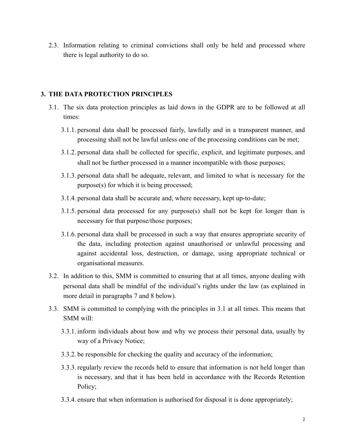2.3. Information relating to criminal convictions shall only be held and processed where there is legal authority to do so.

### **3. THE DATA PROTECTION PRINCIPLES**

- 3.1. The six data protection principles as laid down in the GDPR are to be followed at all times:
	- 3.1.1. personal data shall be processed fairly, lawfully and in a transparent manner, and processing shall not be lawful unless one of the processing conditions can be met;
	- 3.1.2. personal data shall be collected for specific, explicit, and legitimate purposes, and shall not be further processed in a manner incompatible with those purposes;
	- 3.1.3. personal data shall be adequate, relevant, and limited to what is necessary for the purpose(s) for which it is being processed;
	- 3.1.4. personal data shall be accurate and, where necessary, kept up-to-date;
	- 3.1.5. personal data processed for any purpose(s) shall not be kept for longer than is necessary for that purpose/those purposes;
	- 3.1.6. personal data shall be processed in such a way that ensures appropriate security of the data, including protection against unauthorised or unlawful processing and against accidental loss, destruction, or damage, using appropriate technical or organisational measures.
- 3.2. In addition to this, SMM is committed to ensuring that at all times, anyone dealing with personal data shall be mindful of the individual's rights under the law (as explained in more detail in paragraphs 7 and 8 below).
- 3.3. SMM is committed to complying with the principles in 3.1 at all times. This means that SMM will:
	- 3.3.1. inform individuals about how and why we process their personal data, usually by way of a Privacy Notice;
	- 3.3.2. be responsible for checking the quality and accuracy of the information;
	- 3.3.3. regularly review the records held to ensure that information is not held longer than is necessary, and that it has been held in accordance with the Records Retention Policy;
	- 3.3.4. ensure that when information is authorised for disposal it is done appropriately;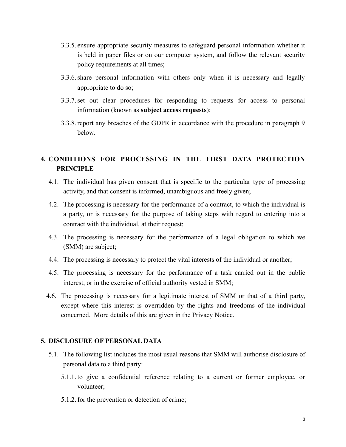- 3.3.5. ensure appropriate security measures to safeguard personal information whether it is held in paper files or on our computer system, and follow the relevant security policy requirements at all times;
- 3.3.6.share personal information with others only when it is necessary and legally appropriate to do so;
- 3.3.7.set out clear procedures for responding to requests for access to personal information (known as **subject access requests**);
- 3.3.8. report any breaches of the GDPR in accordance with the procedure in paragraph 9 below.

# **4. CONDITIONS FOR PROCESSING IN THE FIRST DATA PROTECTION PRINCIPLE**

- 4.1. The individual has given consent that is specific to the particular type of processing activity, and that consent is informed, unambiguous and freely given;
- 4.2. The processing is necessary for the performance of a contract, to which the individual is a party, or is necessary for the purpose of taking steps with regard to entering into a contract with the individual, at their request;
- 4.3. The processing is necessary for the performance of a legal obligation to which we (SMM) are subject;
- 4.4. The processing is necessary to protect the vital interests of the individual or another;
- 4.5. The processing is necessary for the performance of a task carried out in the public interest, or in the exercise of official authority vested in SMM;
- 4.6. The processing is necessary for a legitimate interest of SMM or that of a third party, except where this interest is overridden by the rights and freedoms of the individual concerned. More details of this are given in the Privacy Notice.

### **5. DISCLOSURE OF PERSONAL DATA**

- 5.1. The following list includes the most usual reasons that SMM will authorise disclosure of personal data to a third party:
	- 5.1.1. to give a confidential reference relating to a current or former employee, or volunteer;
	- 5.1.2. for the prevention or detection of crime;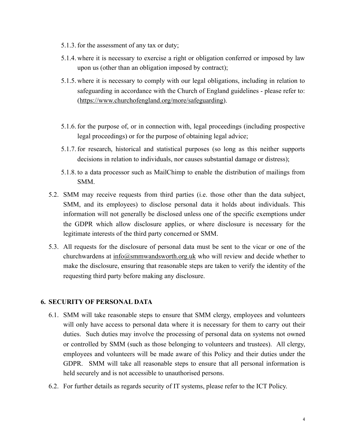- 5.1.3. for the assessment of any tax or duty;
- 5.1.4. where it is necessary to exercise a right or obligation conferred or imposed by law upon us (other than an obligation imposed by contract);
- 5.1.5. where it is necessary to comply with our legal obligations, including in relation to safeguarding in accordance with the Church of England guidelines - please refer to: (<https://www.churchofengland.org/more/safeguarding>).
- 5.1.6. for the purpose of, or in connection with, legal proceedings (including prospective legal proceedings) or for the purpose of obtaining legal advice;
- 5.1.7. for research, historical and statistical purposes (so long as this neither supports decisions in relation to individuals, nor causes substantial damage or distress);
- 5.1.8. to a data processor such as MailChimp to enable the distribution of mailings from SMM.
- 5.2. SMM may receive requests from third parties (i.e. those other than the data subject, SMM, and its employees) to disclose personal data it holds about individuals. This information will not generally be disclosed unless one of the specific exemptions under the GDPR which allow disclosure applies, or where disclosure is necessary for the legitimate interests of the third party concerned or SMM.
- 5.3. All requests for the disclosure of personal data must be sent to the vicar or one of the churchwardens at  $\frac{info(@smmwandsworth.org.uk}{info(@smmwandsworth.org.uk}$  who will review and decide whether to make the disclosure, ensuring that reasonable steps are taken to verify the identity of the requesting third party before making any disclosure.

### **6. SECURITY OF PERSONAL DATA**

- 6.1. SMM will take reasonable steps to ensure that SMM clergy, employees and volunteers will only have access to personal data where it is necessary for them to carry out their duties. Such duties may involve the processing of personal data on systems not owned or controlled by SMM (such as those belonging to volunteers and trustees). All clergy, employees and volunteers will be made aware of this Policy and their duties under the GDPR. SMM will take all reasonable steps to ensure that all personal information is held securely and is not accessible to unauthorised persons.
- 6.2. For further details as regards security of IT systems, please refer to the ICT Policy.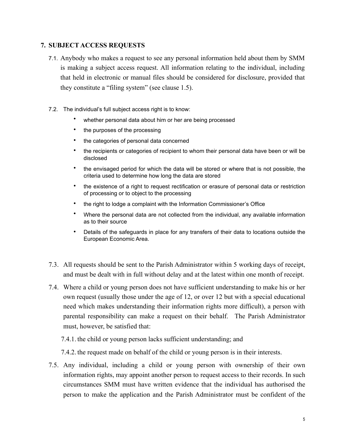## **7. SUBJECT ACCESS REQUESTS**

- 7.1. Anybody who makes a request to see any personal information held about them by SMM is making a subject access request. All information relating to the individual, including that held in electronic or manual files should be considered for disclosure, provided that they constitute a "filing system" (see clause 1.5).
- 7.2. The individual's full subject access right is to know:
	- whether personal data about him or her are being processed
	- the purposes of the processing
	- the categories of personal data concerned
	- the recipients or categories of recipient to whom their personal data have been or will be disclosed
	- the envisaged period for which the data will be stored or where that is not possible, the criteria used to determine how long the data are stored
	- the existence of a right to request rectification or erasure of personal data or restriction of processing or to object to the processing
	- the right to lodge a complaint with the Information Commissioner's Office
	- Where the personal data are not collected from the individual, any available information as to their source
	- Details of the safeguards in place for any transfers of their data to locations outside the European Economic Area.
- 7.3. All requests should be sent to the Parish Administrator within 5 working days of receipt, and must be dealt with in full without delay and at the latest within one month of receipt.
- 7.4. Where a child or young person does not have sufficient understanding to make his or her own request (usually those under the age of 12, or over 12 but with a special educational need which makes understanding their information rights more difficult), a person with parental responsibility can make a request on their behalf. The Parish Administrator must, however, be satisfied that:
	- 7.4.1. the child or young person lacks sufficient understanding; and
	- 7.4.2. the request made on behalf of the child or young person is in their interests.
- 7.5. Any individual, including a child or young person with ownership of their own information rights, may appoint another person to request access to their records. In such circumstances SMM must have written evidence that the individual has authorised the person to make the application and the Parish Administrator must be confident of the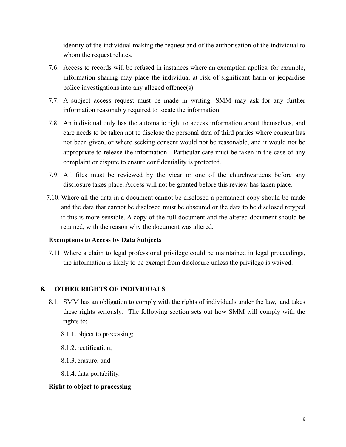identity of the individual making the request and of the authorisation of the individual to whom the request relates.

- 7.6. Access to records will be refused in instances where an exemption applies, for example, information sharing may place the individual at risk of significant harm or jeopardise police investigations into any alleged offence(s).
- 7.7. A subject access request must be made in writing. SMM may ask for any further information reasonably required to locate the information.
- 7.8. An individual only has the automatic right to access information about themselves, and care needs to be taken not to disclose the personal data of third parties where consent has not been given, or where seeking consent would not be reasonable, and it would not be appropriate to release the information. Particular care must be taken in the case of any complaint or dispute to ensure confidentiality is protected.
- 7.9. All files must be reviewed by the vicar or one of the churchwardens before any disclosure takes place. Access will not be granted before this review has taken place.
- 7.10. Where all the data in a document cannot be disclosed a permanent copy should be made and the data that cannot be disclosed must be obscured or the data to be disclosed retyped if this is more sensible. A copy of the full document and the altered document should be retained, with the reason why the document was altered.

## **Exemptions to Access by Data Subjects**

7.11. Where a claim to legal professional privilege could be maintained in legal proceedings, the information is likely to be exempt from disclosure unless the privilege is waived.

## **8. OTHER RIGHTS OF INDIVIDUALS**

- 8.1. SMM has an obligation to comply with the rights of individuals under the law, and takes these rights seriously. The following section sets out how SMM will comply with the rights to:
	- 8.1.1. object to processing;
	- 8.1.2. rectification;
	- 8.1.3. erasure; and
	- 8.1.4. data portability.

### **Right to object to processing**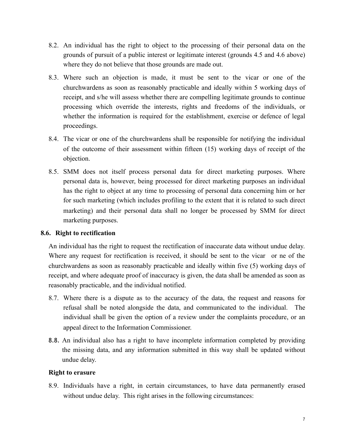- 8.2. An individual has the right to object to the processing of their personal data on the grounds of pursuit of a public interest or legitimate interest (grounds 4.5 and 4.6 above) where they do not believe that those grounds are made out.
- 8.3. Where such an objection is made, it must be sent to the vicar or one of the churchwardens as soon as reasonably practicable and ideally within 5 working days of receipt, and s/he will assess whether there are compelling legitimate grounds to continue processing which override the interests, rights and freedoms of the individuals, or whether the information is required for the establishment, exercise or defence of legal proceedings.
- 8.4. The vicar or one of the churchwardens shall be responsible for notifying the individual of the outcome of their assessment within fifteen (15) working days of receipt of the objection.
- 8.5. SMM does not itself process personal data for direct marketing purposes. Where personal data is, however, being processed for direct marketing purposes an individual has the right to object at any time to processing of personal data concerning him or her for such marketing (which includes profiling to the extent that it is related to such direct marketing) and their personal data shall no longer be processed by SMM for direct marketing purposes.

### **8.6. Right to rectification**

An individual has the right to request the rectification of inaccurate data without undue delay. Where any request for rectification is received, it should be sent to the vicar or ne of the churchwardens as soon as reasonably practicable and ideally within five (5) working days of receipt, and where adequate proof of inaccuracy is given, the data shall be amended as soon as reasonably practicable, and the individual notified.

- 8.7. Where there is a dispute as to the accuracy of the data, the request and reasons for refusal shall be noted alongside the data, and communicated to the individual. The individual shall be given the option of a review under the complaints procedure, or an appeal direct to the Information Commissioner.
- 8.8. An individual also has a right to have incomplete information completed by providing the missing data, and any information submitted in this way shall be updated without undue delay.

### **Right to erasure**

8.9. Individuals have a right, in certain circumstances, to have data permanently erased without undue delay. This right arises in the following circumstances: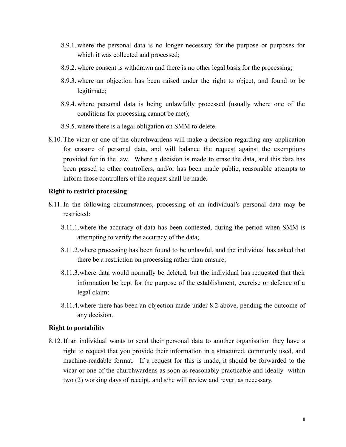- 8.9.1. where the personal data is no longer necessary for the purpose or purposes for which it was collected and processed;
- 8.9.2. where consent is withdrawn and there is no other legal basis for the processing;
- 8.9.3. where an objection has been raised under the right to object, and found to be legitimate;
- 8.9.4. where personal data is being unlawfully processed (usually where one of the conditions for processing cannot be met);
- 8.9.5. where there is a legal obligation on SMM to delete.
- 8.10. The vicar or one of the churchwardens will make a decision regarding any application for erasure of personal data, and will balance the request against the exemptions provided for in the law. Where a decision is made to erase the data, and this data has been passed to other controllers, and/or has been made public, reasonable attempts to inform those controllers of the request shall be made.

#### **Right to restrict processing**

- 8.11. In the following circumstances, processing of an individual's personal data may be restricted:
	- 8.11.1.where the accuracy of data has been contested, during the period when SMM is attempting to verify the accuracy of the data;
	- 8.11.2.where processing has been found to be unlawful, and the individual has asked that there be a restriction on processing rather than erasure;
	- 8.11.3.where data would normally be deleted, but the individual has requested that their information be kept for the purpose of the establishment, exercise or defence of a legal claim;
	- 8.11.4.where there has been an objection made under 8.2 above, pending the outcome of any decision.

### **Right to portability**

8.12. If an individual wants to send their personal data to another organisation they have a right to request that you provide their information in a structured, commonly used, and machine-readable format. If a request for this is made, it should be forwarded to the vicar or one of the churchwardens as soon as reasonably practicable and ideally within two (2) working days of receipt, and s/he will review and revert as necessary.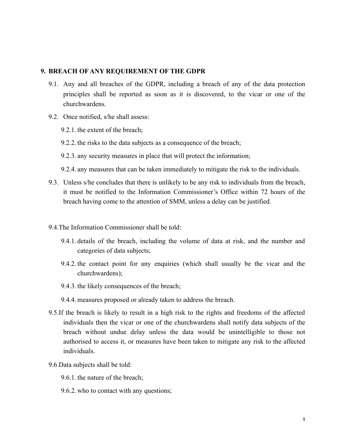#### **9. BREACH OF ANY REQUIREMENT OF THE GDPR**

- 9.1. Any and all breaches of the GDPR, including a breach of any of the data protection principles shall be reported as soon as it is discovered, to the vicar or one of the churchwardens.
- 9.2. Once notified, s/he shall assess:
	- 9.2.1. the extent of the breach;
	- 9.2.2. the risks to the data subjects as a consequence of the breach;
	- 9.2.3. any security measures in place that will protect the information;
	- 9.2.4. any measures that can be taken immediately to mitigate the risk to the individuals.
- 9.3. Unless s/he concludes that there is unlikely to be any risk to individuals from the breach, it must be notified to the Information Commissioner's Office within 72 hours of the breach having come to the attention of SMM, unless a delay can be justified.
- 9.4.The Information Commissioner shall be told:
	- 9.4.1. details of the breach, including the volume of data at risk, and the number and categories of data subjects;
	- 9.4.2. the contact point for any enquiries (which shall usually be the vicar and the churchwardens);
	- 9.4.3. the likely consequences of the breach;
	- 9.4.4. measures proposed or already taken to address the breach.
- 9.5.If the breach is likely to result in a high risk to the rights and freedoms of the affected individuals then the vicar or one of the churchwardens shall notify data subjects of the breach without undue delay unless the data would be unintelligible to those not authorised to access it, or measures have been taken to mitigate any risk to the affected individuals.
- 9.6.Data subjects shall be told:
	- 9.6.1. the nature of the breach;
	- 9.6.2. who to contact with any questions;